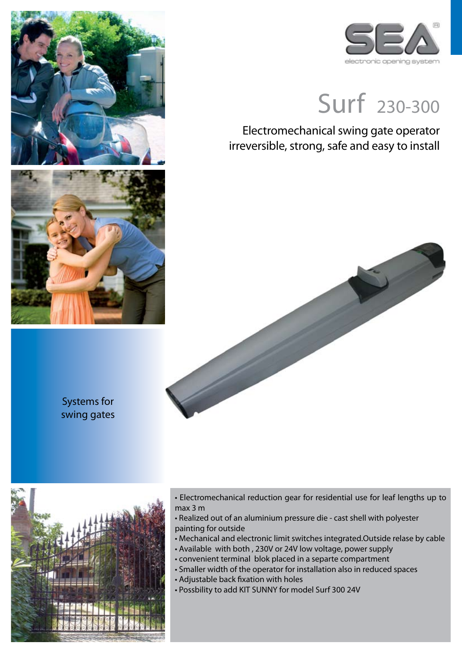



## Surf 230-300

Electromechanical swing gate operator irreversible, strong, safe and easy to install



Systems for swing gates



- Electromechanical reduction gear for residential use for leaf lengths up to max 3 m
- Realized out of an aluminium pressure die cast shell with polyester painting for outside
- Mechanical and electronic limit switches integrated.Outside relase by cable
- Available with both , 230V or 24V low voltage, power supply
- convenient terminal blok placed in a separte compartment
- Smaller width of the operator for installation also in reduced spaces
- Adjustable back fixation with holes
- Possbility to add KIT SUNNY for model Surf 300 24V